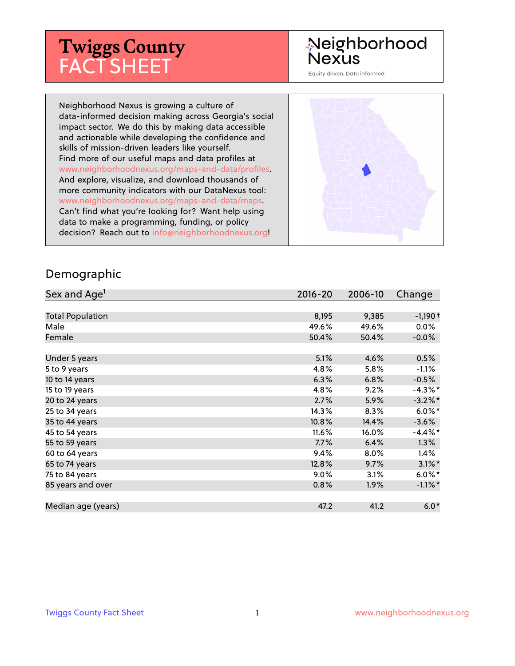# **Twiggs County** FACT SHEET

#### Neighborhood **Nexus**

Equity driven. Data informed.

Neighborhood Nexus is growing a culture of data-informed decision making across Georgia's social impact sector. We do this by making data accessible and actionable while developing the confidence and skills of mission-driven leaders like yourself. Find more of our useful maps and data profiles at www.neighborhoodnexus.org/maps-and-data/profiles. And explore, visualize, and download thousands of more community indicators with our DataNexus tool: www.neighborhoodnexus.org/maps-and-data/maps. Can't find what you're looking for? Want help using data to make a programming, funding, or policy decision? Reach out to [info@neighborhoodnexus.org!](mailto:info@neighborhoodnexus.org)



#### Demographic

| Sex and Age <sup>1</sup> | $2016 - 20$ | 2006-10 | Change               |
|--------------------------|-------------|---------|----------------------|
|                          |             |         |                      |
| <b>Total Population</b>  | 8,195       | 9,385   | $-1,190+$            |
| Male                     | 49.6%       | 49.6%   | $0.0\%$              |
| Female                   | 50.4%       | 50.4%   | $-0.0\%$             |
|                          |             |         |                      |
| Under 5 years            | 5.1%        | 4.6%    | 0.5%                 |
| 5 to 9 years             | 4.8%        | 5.8%    | $-1.1\%$             |
| 10 to 14 years           | 6.3%        | 6.8%    | $-0.5%$              |
| 15 to 19 years           | 4.8%        | 9.2%    | $-4.3\%$ *           |
| 20 to 24 years           | 2.7%        | 5.9%    | $-3.2\%$ *           |
| 25 to 34 years           | 14.3%       | 8.3%    | $6.0\%$ *            |
| 35 to 44 years           | 10.8%       | 14.4%   | $-3.6%$              |
| 45 to 54 years           | 11.6%       | 16.0%   | $-4.4\%$ *           |
| 55 to 59 years           | 7.7%        | 6.4%    | 1.3%                 |
| 60 to 64 years           | 9.4%        | 8.0%    | $1.4\%$              |
| 65 to 74 years           | 12.8%       | 9.7%    | $3.1\%$ <sup>*</sup> |
| 75 to 84 years           | $9.0\%$     | 3.1%    | $6.0\%$ *            |
| 85 years and over        | 0.8%        | 1.9%    | $-1.1\%$ *           |
|                          |             |         |                      |
| Median age (years)       | 47.2        | 41.2    | $6.0*$               |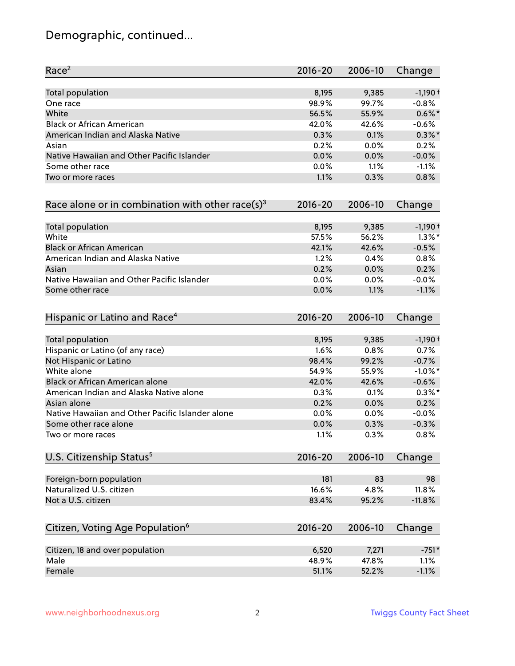### Demographic, continued...

| Race <sup>2</sup>                                            | $2016 - 20$ | 2006-10 | Change     |
|--------------------------------------------------------------|-------------|---------|------------|
| <b>Total population</b>                                      | 8,195       | 9,385   | $-1,190+$  |
| One race                                                     | 98.9%       | 99.7%   | $-0.8%$    |
| White                                                        | 56.5%       | 55.9%   | $0.6\%$ *  |
| <b>Black or African American</b>                             | 42.0%       | 42.6%   | $-0.6%$    |
| American Indian and Alaska Native                            | 0.3%        | 0.1%    | $0.3\%$ *  |
| Asian                                                        | 0.2%        | 0.0%    | 0.2%       |
| Native Hawaiian and Other Pacific Islander                   | 0.0%        | 0.0%    | $-0.0%$    |
| Some other race                                              | 0.0%        | 1.1%    | $-1.1%$    |
| Two or more races                                            | 1.1%        | 0.3%    | 0.8%       |
| Race alone or in combination with other race(s) <sup>3</sup> | $2016 - 20$ | 2006-10 | Change     |
| Total population                                             | 8,195       | 9,385   | $-1,190+$  |
| White                                                        | 57.5%       | 56.2%   | $1.3\%$ *  |
| <b>Black or African American</b>                             | 42.1%       | 42.6%   | $-0.5%$    |
| American Indian and Alaska Native                            | 1.2%        | 0.4%    | 0.8%       |
| Asian                                                        | 0.2%        | 0.0%    | 0.2%       |
| Native Hawaiian and Other Pacific Islander                   | 0.0%        | 0.0%    | $-0.0%$    |
| Some other race                                              | 0.0%        | 1.1%    | $-1.1%$    |
| Hispanic or Latino and Race <sup>4</sup>                     | $2016 - 20$ | 2006-10 | Change     |
| Total population                                             | 8,195       | 9,385   | $-1,190+$  |
| Hispanic or Latino (of any race)                             | 1.6%        | 0.8%    | 0.7%       |
| Not Hispanic or Latino                                       | 98.4%       | 99.2%   | $-0.7%$    |
| White alone                                                  | 54.9%       | 55.9%   | $-1.0\%$ * |
| Black or African American alone                              | 42.0%       | 42.6%   | $-0.6%$    |
| American Indian and Alaska Native alone                      | 0.3%        | 0.1%    | $0.3\%$ *  |
| Asian alone                                                  | 0.2%        | 0.0%    | 0.2%       |
| Native Hawaiian and Other Pacific Islander alone             | 0.0%        | 0.0%    | $-0.0%$    |
| Some other race alone                                        | 0.0%        | 0.3%    | $-0.3%$    |
| Two or more races                                            | 1.1%        | 0.3%    | 0.8%       |
| U.S. Citizenship Status <sup>5</sup>                         | $2016 - 20$ | 2006-10 | Change     |
| Foreign-born population                                      | 181         | 83      | 98         |
| Naturalized U.S. citizen                                     | 16.6%       | 4.8%    | 11.8%      |
| Not a U.S. citizen                                           | 83.4%       | 95.2%   | $-11.8%$   |
|                                                              |             |         |            |
| Citizen, Voting Age Population <sup>6</sup>                  | $2016 - 20$ | 2006-10 | Change     |
| Citizen, 18 and over population                              | 6,520       | 7,271   | $-751*$    |
| Male                                                         | 48.9%       | 47.8%   | 1.1%       |
| Female                                                       | 51.1%       | 52.2%   | $-1.1%$    |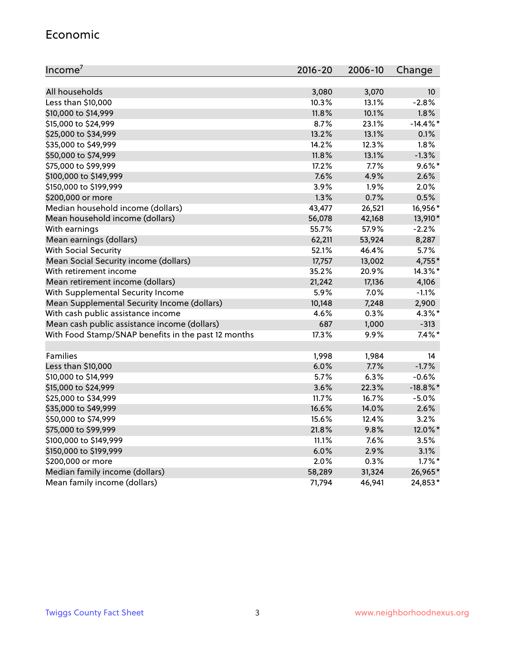#### Economic

| Income <sup>7</sup>                                 | $2016 - 20$ | 2006-10 | Change          |
|-----------------------------------------------------|-------------|---------|-----------------|
|                                                     |             |         |                 |
| All households                                      | 3,080       | 3,070   | 10 <sup>°</sup> |
| Less than \$10,000                                  | 10.3%       | 13.1%   | $-2.8%$         |
| \$10,000 to \$14,999                                | 11.8%       | 10.1%   | 1.8%            |
| \$15,000 to \$24,999                                | 8.7%        | 23.1%   | $-14.4\%$ *     |
| \$25,000 to \$34,999                                | 13.2%       | 13.1%   | 0.1%            |
| \$35,000 to \$49,999                                | 14.2%       | 12.3%   | 1.8%            |
| \$50,000 to \$74,999                                | 11.8%       | 13.1%   | $-1.3%$         |
| \$75,000 to \$99,999                                | 17.2%       | 7.7%    | $9.6\%$ *       |
| \$100,000 to \$149,999                              | 7.6%        | 4.9%    | 2.6%            |
| \$150,000 to \$199,999                              | 3.9%        | 1.9%    | 2.0%            |
| \$200,000 or more                                   | 1.3%        | 0.7%    | 0.5%            |
| Median household income (dollars)                   | 43,477      | 26,521  | 16,956*         |
| Mean household income (dollars)                     | 56,078      | 42,168  | 13,910*         |
| With earnings                                       | 55.7%       | 57.9%   | $-2.2%$         |
| Mean earnings (dollars)                             | 62,211      | 53,924  | 8,287           |
| <b>With Social Security</b>                         | 52.1%       | 46.4%   | 5.7%            |
| Mean Social Security income (dollars)               | 17,757      | 13,002  | 4,755*          |
| With retirement income                              | 35.2%       | 20.9%   | 14.3%*          |
| Mean retirement income (dollars)                    | 21,242      | 17,136  | 4,106           |
| With Supplemental Security Income                   | 5.9%        | $7.0\%$ | $-1.1\%$        |
| Mean Supplemental Security Income (dollars)         | 10,148      | 7,248   | 2,900           |
| With cash public assistance income                  | 4.6%        | 0.3%    | 4.3%*           |
| Mean cash public assistance income (dollars)        | 687         | 1,000   | $-313$          |
| With Food Stamp/SNAP benefits in the past 12 months | 17.3%       | 9.9%    | $7.4\%$ *       |
|                                                     |             |         |                 |
| Families                                            | 1,998       | 1,984   | 14              |
| Less than \$10,000                                  | 6.0%        | $7.7\%$ | $-1.7%$         |
| \$10,000 to \$14,999                                | 5.7%        | 6.3%    | $-0.6%$         |
| \$15,000 to \$24,999                                | 3.6%        | 22.3%   | $-18.8\%$ *     |
| \$25,000 to \$34,999                                | 11.7%       | 16.7%   | $-5.0%$         |
| \$35,000 to \$49,999                                | 16.6%       | 14.0%   | 2.6%            |
| \$50,000 to \$74,999                                | 15.6%       | 12.4%   | 3.2%            |
| \$75,000 to \$99,999                                | 21.8%       | 9.8%    | 12.0%*          |
| \$100,000 to \$149,999                              | 11.1%       | $7.6\%$ | 3.5%            |
| \$150,000 to \$199,999                              | 6.0%        | 2.9%    | 3.1%            |
| \$200,000 or more                                   | 2.0%        | 0.3%    | $1.7\%$ *       |
| Median family income (dollars)                      | 58,289      | 31,324  | 26,965*         |
| Mean family income (dollars)                        | 71,794      | 46,941  | 24,853*         |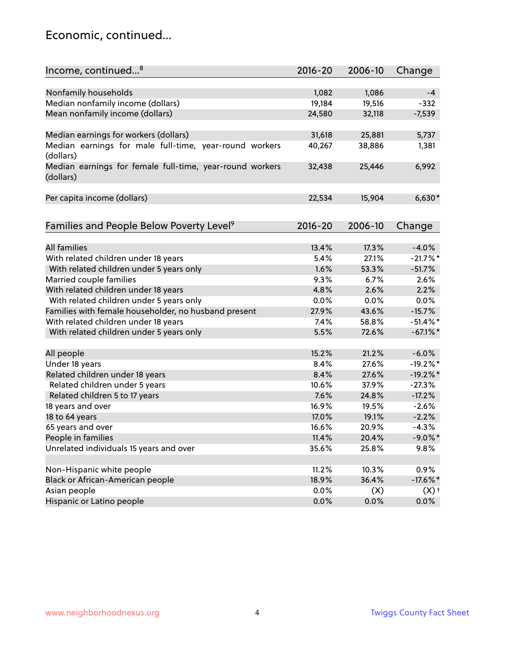#### Economic, continued...

| Income, continued <sup>8</sup>                                        | $2016 - 20$ | 2006-10 | Change      |
|-----------------------------------------------------------------------|-------------|---------|-------------|
|                                                                       |             |         |             |
| Nonfamily households                                                  | 1,082       | 1,086   | $-4$        |
| Median nonfamily income (dollars)                                     | 19,184      | 19,516  | $-332$      |
| Mean nonfamily income (dollars)                                       | 24,580      | 32,118  | $-7,539$    |
| Median earnings for workers (dollars)                                 | 31,618      | 25,881  | 5,737       |
| Median earnings for male full-time, year-round workers                | 40,267      | 38,886  | 1,381       |
| (dollars)                                                             |             |         |             |
| Median earnings for female full-time, year-round workers<br>(dollars) | 32,438      | 25,446  | 6,992       |
| Per capita income (dollars)                                           | 22,534      | 15,904  | $6,630*$    |
|                                                                       |             |         |             |
| Families and People Below Poverty Level <sup>9</sup>                  | $2016 - 20$ | 2006-10 | Change      |
| <b>All families</b>                                                   | 13.4%       | 17.3%   | $-4.0%$     |
| With related children under 18 years                                  | 5.4%        | 27.1%   | $-21.7%$ *  |
| With related children under 5 years only                              | 1.6%        | 53.3%   | $-51.7%$    |
| Married couple families                                               | 9.3%        | 6.7%    | 2.6%        |
| With related children under 18 years                                  | 4.8%        | 2.6%    | 2.2%        |
| With related children under 5 years only                              | 0.0%        | 0.0%    | 0.0%        |
| Families with female householder, no husband present                  | 27.9%       | 43.6%   | $-15.7%$    |
| With related children under 18 years                                  | 7.4%        | 58.8%   | $-51.4\%$ * |
| With related children under 5 years only                              | 5.5%        | 72.6%   | $-67.1\%$ * |
|                                                                       |             |         |             |
| All people                                                            | 15.2%       | 21.2%   | $-6.0%$     |
| Under 18 years                                                        | 8.4%        | 27.6%   | $-19.2%$ *  |
| Related children under 18 years                                       | 8.4%        | 27.6%   | $-19.2%$    |
| Related children under 5 years                                        | 10.6%       | 37.9%   | $-27.3%$    |
| Related children 5 to 17 years                                        | 7.6%        | 24.8%   | $-17.2%$    |
| 18 years and over                                                     | 16.9%       | 19.5%   | $-2.6%$     |
| 18 to 64 years                                                        | 17.0%       | 19.1%   | $-2.2%$     |
| 65 years and over                                                     | 16.6%       | 20.9%   | $-4.3%$     |
| People in families                                                    | 11.4%       | 20.4%   | $-9.0\%$ *  |
| Unrelated individuals 15 years and over                               | 35.6%       | 25.8%   | 9.8%        |
| Non-Hispanic white people                                             | 11.2%       | 10.3%   | 0.9%        |
| Black or African-American people                                      | 18.9%       | 36.4%   | $-17.6\%$ * |
| Asian people                                                          | $0.0\%$     | (X)     | $(X)$ +     |
| Hispanic or Latino people                                             | 0.0%        | 0.0%    | $0.0\%$     |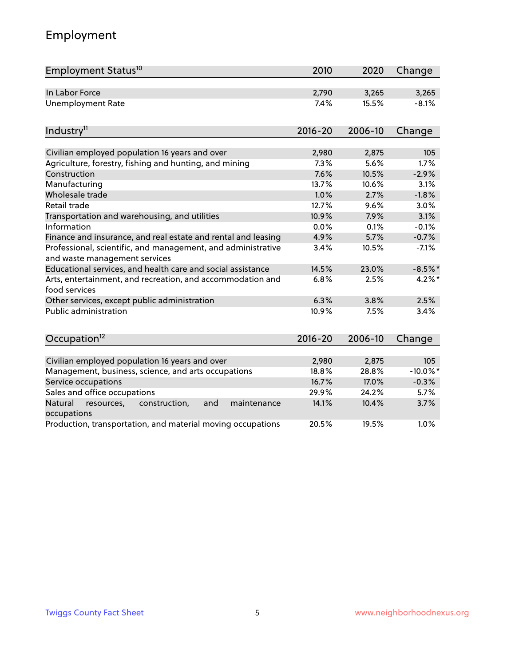## Employment

| Employment Status <sup>10</sup>                                                               | 2010        | 2020    | Change      |
|-----------------------------------------------------------------------------------------------|-------------|---------|-------------|
| In Labor Force                                                                                | 2,790       | 3,265   | 3,265       |
| <b>Unemployment Rate</b>                                                                      | 7.4%        | 15.5%   | $-8.1%$     |
| Industry <sup>11</sup>                                                                        | $2016 - 20$ | 2006-10 | Change      |
|                                                                                               |             |         |             |
| Civilian employed population 16 years and over                                                | 2,980       | 2,875   | 105         |
| Agriculture, forestry, fishing and hunting, and mining                                        | 7.3%        | 5.6%    | 1.7%        |
| Construction                                                                                  | 7.6%        | 10.5%   | $-2.9%$     |
| Manufacturing                                                                                 | 13.7%       | 10.6%   | 3.1%        |
| Wholesale trade                                                                               | 1.0%        | 2.7%    | $-1.8%$     |
| Retail trade                                                                                  | 12.7%       | 9.6%    | 3.0%        |
| Transportation and warehousing, and utilities                                                 | 10.9%       | 7.9%    | 3.1%        |
| Information                                                                                   | 0.0%        | 0.1%    | $-0.1%$     |
| Finance and insurance, and real estate and rental and leasing                                 | 4.9%        | 5.7%    | $-0.7%$     |
| Professional, scientific, and management, and administrative<br>and waste management services | 3.4%        | 10.5%   | $-7.1%$     |
| Educational services, and health care and social assistance                                   | 14.5%       | 23.0%   | $-8.5%$ *   |
| Arts, entertainment, and recreation, and accommodation and<br>food services                   | 6.8%        | 2.5%    | $4.2\%$ *   |
| Other services, except public administration                                                  | 6.3%        | 3.8%    | 2.5%        |
| <b>Public administration</b>                                                                  | 10.9%       | 7.5%    | 3.4%        |
| Occupation <sup>12</sup>                                                                      | $2016 - 20$ | 2006-10 | Change      |
|                                                                                               |             |         |             |
| Civilian employed population 16 years and over                                                | 2,980       | 2,875   | 105         |
| Management, business, science, and arts occupations                                           | 18.8%       | 28.8%   | $-10.0\%$ * |
| Service occupations                                                                           | 16.7%       | 17.0%   | $-0.3%$     |
| Sales and office occupations                                                                  | 29.9%       | 24.2%   | 5.7%        |
| Natural<br>resources,<br>construction,<br>and<br>maintenance<br>occupations                   | 14.1%       | 10.4%   | 3.7%        |
| Production, transportation, and material moving occupations                                   | 20.5%       | 19.5%   | 1.0%        |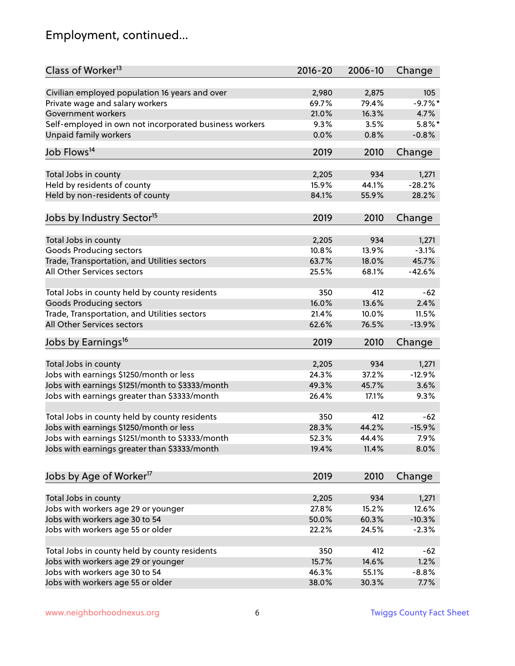### Employment, continued...

| Class of Worker <sup>13</sup>                          | $2016 - 20$ | 2006-10 | Change    |
|--------------------------------------------------------|-------------|---------|-----------|
| Civilian employed population 16 years and over         | 2,980       | 2,875   | 105       |
| Private wage and salary workers                        | 69.7%       | 79.4%   | $-9.7%$ * |
| Government workers                                     | 21.0%       | 16.3%   | 4.7%      |
| Self-employed in own not incorporated business workers | 9.3%        | 3.5%    | $5.8\%$ * |
| <b>Unpaid family workers</b>                           | 0.0%        | 0.8%    | $-0.8%$   |
|                                                        |             |         |           |
| Job Flows <sup>14</sup>                                | 2019        | 2010    | Change    |
| Total Jobs in county                                   | 2,205       | 934     | 1,271     |
| Held by residents of county                            | 15.9%       | 44.1%   | $-28.2%$  |
| Held by non-residents of county                        | 84.1%       | 55.9%   | 28.2%     |
|                                                        |             |         |           |
| Jobs by Industry Sector <sup>15</sup>                  | 2019        | 2010    | Change    |
| Total Jobs in county                                   | 2,205       | 934     | 1,271     |
| Goods Producing sectors                                | 10.8%       | 13.9%   | $-3.1%$   |
| Trade, Transportation, and Utilities sectors           | 63.7%       | 18.0%   | 45.7%     |
| All Other Services sectors                             | 25.5%       | 68.1%   | -42.6%    |
|                                                        |             |         |           |
| Total Jobs in county held by county residents          | 350         | 412     | $-62$     |
| <b>Goods Producing sectors</b>                         | 16.0%       | 13.6%   | 2.4%      |
| Trade, Transportation, and Utilities sectors           | 21.4%       | 10.0%   | 11.5%     |
| All Other Services sectors                             | 62.6%       | 76.5%   | $-13.9%$  |
|                                                        |             |         |           |
| Jobs by Earnings <sup>16</sup>                         | 2019        | 2010    | Change    |
| Total Jobs in county                                   | 2,205       | 934     | 1,271     |
| Jobs with earnings \$1250/month or less                | 24.3%       | 37.2%   | $-12.9%$  |
| Jobs with earnings \$1251/month to \$3333/month        | 49.3%       | 45.7%   | 3.6%      |
| Jobs with earnings greater than \$3333/month           | 26.4%       | 17.1%   | 9.3%      |
|                                                        |             |         |           |
| Total Jobs in county held by county residents          | 350         | 412     | $-62$     |
| Jobs with earnings \$1250/month or less                | 28.3%       | 44.2%   | $-15.9%$  |
| Jobs with earnings \$1251/month to \$3333/month        | 52.3%       | 44.4%   | $7.9\%$   |
| Jobs with earnings greater than \$3333/month           | 19.4%       | 11.4%   | 8.0%      |
|                                                        |             |         |           |
| Jobs by Age of Worker <sup>17</sup>                    | 2019        | 2010    | Change    |
| Total Jobs in county                                   | 2,205       | 934     | 1,271     |
| Jobs with workers age 29 or younger                    | 27.8%       | 15.2%   | 12.6%     |
| Jobs with workers age 30 to 54                         | 50.0%       | 60.3%   | $-10.3%$  |
| Jobs with workers age 55 or older                      | 22.2%       |         |           |
|                                                        |             | 24.5%   | $-2.3%$   |
| Total Jobs in county held by county residents          | 350         | 412     | $-62$     |
| Jobs with workers age 29 or younger                    | 15.7%       | 14.6%   | 1.2%      |
| Jobs with workers age 30 to 54                         | 46.3%       | 55.1%   | $-8.8%$   |
| Jobs with workers age 55 or older                      | 38.0%       | 30.3%   | 7.7%      |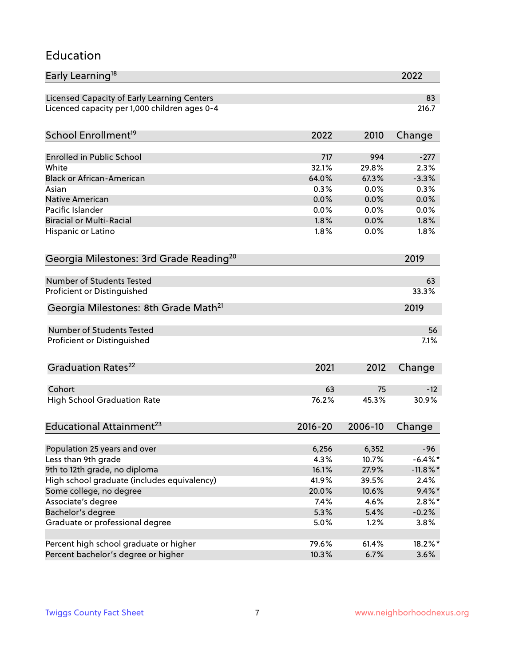#### Education

| Early Learning <sup>18</sup>                        |             |         | 2022        |
|-----------------------------------------------------|-------------|---------|-------------|
| Licensed Capacity of Early Learning Centers         |             |         | 83          |
| Licenced capacity per 1,000 children ages 0-4       |             |         | 216.7       |
| School Enrollment <sup>19</sup>                     | 2022        | 2010    | Change      |
|                                                     |             |         |             |
| Enrolled in Public School                           | 717         | 994     | $-277$      |
| White                                               | 32.1%       | 29.8%   | 2.3%        |
| <b>Black or African-American</b>                    | 64.0%       | 67.3%   | $-3.3%$     |
| Asian                                               | 0.3%        | 0.0%    | 0.3%        |
| <b>Native American</b>                              | 0.0%        | 0.0%    | 0.0%        |
| Pacific Islander                                    | 0.0%        | 0.0%    | 0.0%        |
| <b>Biracial or Multi-Racial</b>                     | 1.8%        | 0.0%    | 1.8%        |
| Hispanic or Latino                                  | 1.8%        | 0.0%    | 1.8%        |
| Georgia Milestones: 3rd Grade Reading <sup>20</sup> |             |         | 2019        |
|                                                     |             |         |             |
| Number of Students Tested                           |             |         | 63          |
| Proficient or Distinguished                         |             |         | 33.3%       |
| Georgia Milestones: 8th Grade Math <sup>21</sup>    |             |         | 2019        |
| <b>Number of Students Tested</b>                    |             |         | 56          |
| Proficient or Distinguished                         |             |         | 7.1%        |
|                                                     |             |         |             |
| Graduation Rates <sup>22</sup>                      | 2021        | 2012    | Change      |
| Cohort                                              | 63          | 75      | $-12$       |
|                                                     | 76.2%       | 45.3%   | 30.9%       |
| <b>High School Graduation Rate</b>                  |             |         |             |
| Educational Attainment <sup>23</sup>                | $2016 - 20$ | 2006-10 | Change      |
| Population 25 years and over                        | 6,256       | 6,352   | $-96$       |
| Less than 9th grade                                 | 4.3%        | 10.7%   | $-6.4\%$ *  |
| 9th to 12th grade, no diploma                       | 16.1%       | 27.9%   | $-11.8\%$ * |
| High school graduate (includes equivalency)         |             |         | 2.4%        |
|                                                     | 41.9%       | 39.5%   |             |
| Some college, no degree                             | 20.0%       | 10.6%   | $9.4\%*$    |
| Associate's degree                                  | 7.4%        | 4.6%    | $2.8\%$ *   |
| Bachelor's degree                                   | 5.3%        | 5.4%    | $-0.2%$     |
| Graduate or professional degree                     | 5.0%        | 1.2%    | 3.8%        |
| Percent high school graduate or higher              | 79.6%       | 61.4%   | 18.2%*      |
| Percent bachelor's degree or higher                 | 10.3%       | 6.7%    | 3.6%        |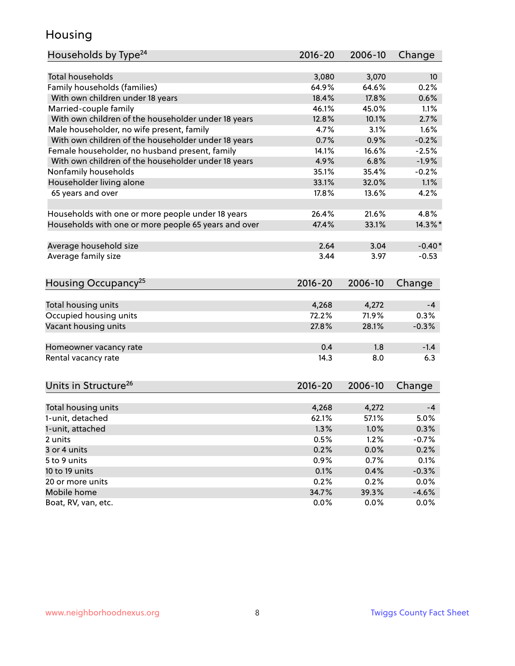#### Housing

| Households by Type <sup>24</sup>                     | $2016 - 20$    | 2006-10        | Change          |
|------------------------------------------------------|----------------|----------------|-----------------|
|                                                      |                |                |                 |
| <b>Total households</b>                              | 3,080          | 3,070          | 10 <sup>°</sup> |
| Family households (families)                         | 64.9%          | 64.6%          | 0.2%            |
| With own children under 18 years                     | 18.4%          | 17.8%          | 0.6%            |
| Married-couple family                                | 46.1%          | 45.0%          | 1.1%            |
| With own children of the householder under 18 years  | 12.8%          | 10.1%          | 2.7%            |
| Male householder, no wife present, family            | 4.7%           | 3.1%           | 1.6%            |
| With own children of the householder under 18 years  | 0.7%           | 0.9%           | $-0.2%$         |
| Female householder, no husband present, family       | 14.1%          | 16.6%          | $-2.5%$         |
| With own children of the householder under 18 years  | 4.9%           | 6.8%           | $-1.9%$         |
| Nonfamily households                                 | 35.1%          | 35.4%          | $-0.2%$         |
| Householder living alone                             | 33.1%          | 32.0%          | 1.1%            |
| 65 years and over                                    | 17.8%          | 13.6%          | 4.2%            |
|                                                      |                |                |                 |
| Households with one or more people under 18 years    | 26.4%          | 21.6%          | 4.8%            |
| Households with one or more people 65 years and over | 47.4%          | 33.1%          | 14.3%*          |
| Average household size                               | 2.64           | 3.04           | $-0.40*$        |
| Average family size                                  | 3.44           | 3.97           | $-0.53$         |
|                                                      |                |                |                 |
| Housing Occupancy <sup>25</sup>                      | $2016 - 20$    | 2006-10        | Change          |
|                                                      |                |                |                 |
| Total housing units                                  | 4,268          | 4,272          | $-4$            |
| Occupied housing units                               | 72.2%          | 71.9%          | 0.3%            |
| Vacant housing units                                 | 27.8%          | 28.1%          | $-0.3%$         |
| Homeowner vacancy rate                               | 0.4            | 1.8            | $-1.4$          |
| Rental vacancy rate                                  | 14.3           | 8.0            | 6.3             |
|                                                      |                |                |                 |
| Units in Structure <sup>26</sup>                     | $2016 - 20$    | 2006-10        | Change          |
|                                                      |                |                | $-4$            |
| Total housing units                                  | 4,268<br>62.1% | 4,272<br>57.1% | 5.0%            |
| 1-unit, detached                                     |                |                |                 |
| 1-unit, attached                                     | 1.3%           | 1.0%           | 0.3%            |
| 2 units                                              | 0.5%           | 1.2%           | $-0.7%$         |
| 3 or 4 units                                         | 0.2%           | 0.0%           | 0.2%            |
| 5 to 9 units                                         | 0.9%           | 0.7%           | 0.1%            |
| 10 to 19 units                                       | 0.1%           | 0.4%           | $-0.3%$         |
| 20 or more units                                     | 0.2%           | 0.2%           | 0.0%            |
| Mobile home                                          | 34.7%          | 39.3%          | $-4.6%$         |
| Boat, RV, van, etc.                                  | 0.0%           | 0.0%           | $0.0\%$         |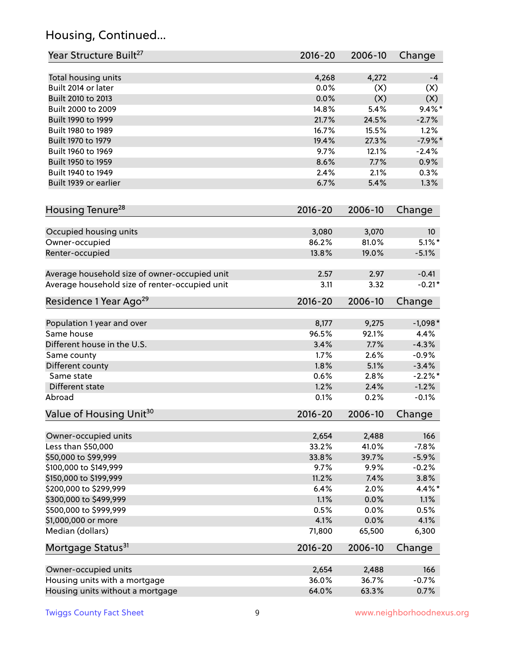### Housing, Continued...

| Year Structure Built <sup>27</sup>             | 2016-20       | 2006-10      | Change          |
|------------------------------------------------|---------------|--------------|-----------------|
|                                                |               |              |                 |
| Total housing units<br>Built 2014 or later     | 4,268<br>0.0% | 4,272<br>(X) | -4<br>(X)       |
| Built 2010 to 2013                             | 0.0%          | (X)          | (X)             |
| Built 2000 to 2009                             | 14.8%         | 5.4%         | $9.4\%$ *       |
|                                                | 21.7%         | 24.5%        |                 |
| Built 1990 to 1999                             |               |              | $-2.7%$         |
| Built 1980 to 1989                             | 16.7%         | 15.5%        | 1.2%            |
| Built 1970 to 1979<br>Built 1960 to 1969       | 19.4%         | 27.3%        | $-7.9%$ *       |
|                                                | 9.7%          | 12.1%        | $-2.4%$         |
| Built 1950 to 1959                             | 8.6%          | 7.7%         | 0.9%            |
| Built 1940 to 1949                             | 2.4%          | 2.1%         | 0.3%            |
| Built 1939 or earlier                          | 6.7%          | 5.4%         | 1.3%            |
| Housing Tenure <sup>28</sup>                   | $2016 - 20$   | 2006-10      | Change          |
|                                                |               |              |                 |
| Occupied housing units                         | 3,080         | 3,070        | 10 <sup>°</sup> |
| Owner-occupied                                 | 86.2%         | 81.0%        | $5.1\%$ *       |
| Renter-occupied                                | 13.8%         | 19.0%        | $-5.1%$         |
| Average household size of owner-occupied unit  | 2.57          | 2.97         | $-0.41$         |
| Average household size of renter-occupied unit | 3.11          | 3.32         | $-0.21*$        |
| Residence 1 Year Ago <sup>29</sup>             | 2016-20       | 2006-10      | Change          |
|                                                |               |              |                 |
| Population 1 year and over                     | 8,177         | 9,275        | $-1,098*$       |
| Same house                                     | 96.5%         | 92.1%        | 4.4%            |
| Different house in the U.S.                    | 3.4%          | 7.7%         | $-4.3%$         |
| Same county                                    | 1.7%          | 2.6%         | $-0.9%$         |
| Different county                               | 1.8%          | 5.1%         | $-3.4%$         |
| Same state                                     | 0.6%          | 2.8%         | $-2.2%$ *       |
| Different state                                | 1.2%          | 2.4%         | $-1.2%$         |
| Abroad                                         | 0.1%          | 0.2%         | $-0.1%$         |
| Value of Housing Unit <sup>30</sup>            | 2016-20       | 2006-10      | Change          |
| Owner-occupied units                           | 2,654         | 2,488        | 166             |
| Less than \$50,000                             | 33.2%         | 41.0%        | $-7.8%$         |
| \$50,000 to \$99,999                           | 33.8%         | 39.7%        | $-5.9%$         |
| \$100,000 to \$149,999                         | 9.7%          | 9.9%         | $-0.2%$         |
| \$150,000 to \$199,999                         | 11.2%         | 7.4%         | 3.8%            |
| \$200,000 to \$299,999                         | 6.4%          | 2.0%         | 4.4%*           |
| \$300,000 to \$499,999                         | 1.1%          | 0.0%         | 1.1%            |
| \$500,000 to \$999,999                         | 0.5%          | 0.0%         | 0.5%            |
| \$1,000,000 or more                            | 4.1%          | 0.0%         | 4.1%            |
| Median (dollars)                               | 71,800        | 65,500       | 6,300           |
| Mortgage Status <sup>31</sup>                  | $2016 - 20$   | 2006-10      | Change          |
|                                                |               |              |                 |
| Owner-occupied units                           | 2,654         | 2,488        | 166             |
| Housing units with a mortgage                  | 36.0%         | 36.7%        | $-0.7%$         |
| Housing units without a mortgage               | 64.0%         | 63.3%        | 0.7%            |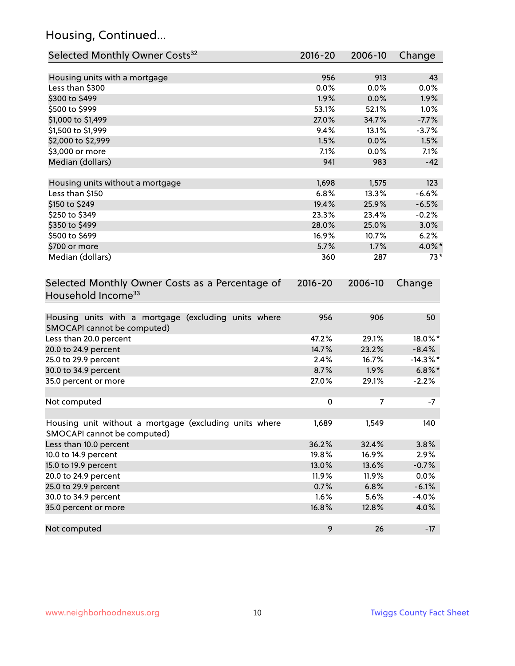### Housing, Continued...

| Selected Monthly Owner Costs <sup>32</sup>                                            | 2016-20 | 2006-10 | Change      |
|---------------------------------------------------------------------------------------|---------|---------|-------------|
| Housing units with a mortgage                                                         | 956     | 913     | 43          |
| Less than \$300                                                                       | 0.0%    | 0.0%    | 0.0%        |
| \$300 to \$499                                                                        | 1.9%    | 0.0%    | 1.9%        |
| \$500 to \$999                                                                        | 53.1%   | 52.1%   | 1.0%        |
| \$1,000 to \$1,499                                                                    | 27.0%   | 34.7%   | $-7.7%$     |
| \$1,500 to \$1,999                                                                    | 9.4%    | 13.1%   | $-3.7%$     |
| \$2,000 to \$2,999                                                                    | 1.5%    | 0.0%    | 1.5%        |
| \$3,000 or more                                                                       | 7.1%    | 0.0%    | 7.1%        |
| Median (dollars)                                                                      | 941     | 983     | $-42$       |
| Housing units without a mortgage                                                      | 1,698   | 1,575   | 123         |
| Less than \$150                                                                       | 6.8%    | 13.3%   | $-6.6%$     |
| \$150 to \$249                                                                        | 19.4%   | 25.9%   | $-6.5%$     |
| \$250 to \$349                                                                        | 23.3%   | 23.4%   | $-0.2%$     |
| \$350 to \$499                                                                        | 28.0%   | 25.0%   | 3.0%        |
| \$500 to \$699                                                                        | 16.9%   | 10.7%   | 6.2%        |
| \$700 or more                                                                         | 5.7%    | 1.7%    | 4.0%*       |
| Median (dollars)                                                                      | 360     | 287     | $73*$       |
| Household Income <sup>33</sup>                                                        |         |         |             |
| Housing units with a mortgage (excluding units where<br>SMOCAPI cannot be computed)   | 956     | 906     | 50          |
| Less than 20.0 percent                                                                | 47.2%   | 29.1%   | 18.0%*      |
| 20.0 to 24.9 percent                                                                  | 14.7%   | 23.2%   | $-8.4%$     |
| 25.0 to 29.9 percent                                                                  | 2.4%    | 16.7%   | $-14.3\%$ * |
| 30.0 to 34.9 percent                                                                  | 8.7%    | 1.9%    | $6.8\%$ *   |
| 35.0 percent or more                                                                  | 27.0%   | 29.1%   | $-2.2%$     |
| Not computed                                                                          | 0       | 7       | $-7$        |
| Housing unit without a mortgage (excluding units where<br>SMOCAPI cannot be computed) | 1,689   | 1,549   | 140         |
| Less than 10.0 percent                                                                | 36.2%   | 32.4%   | 3.8%        |
| 10.0 to 14.9 percent                                                                  | 19.8%   | 16.9%   | 2.9%        |
| 15.0 to 19.9 percent                                                                  | 13.0%   | 13.6%   | $-0.7%$     |
| 20.0 to 24.9 percent                                                                  | 11.9%   | 11.9%   | 0.0%        |
| 25.0 to 29.9 percent                                                                  | 0.7%    | 6.8%    | $-6.1%$     |
| 30.0 to 34.9 percent                                                                  | 1.6%    | 5.6%    | $-4.0%$     |
| 35.0 percent or more                                                                  | 16.8%   | 12.8%   | 4.0%        |
| Not computed                                                                          | 9       | 26      | $-17$       |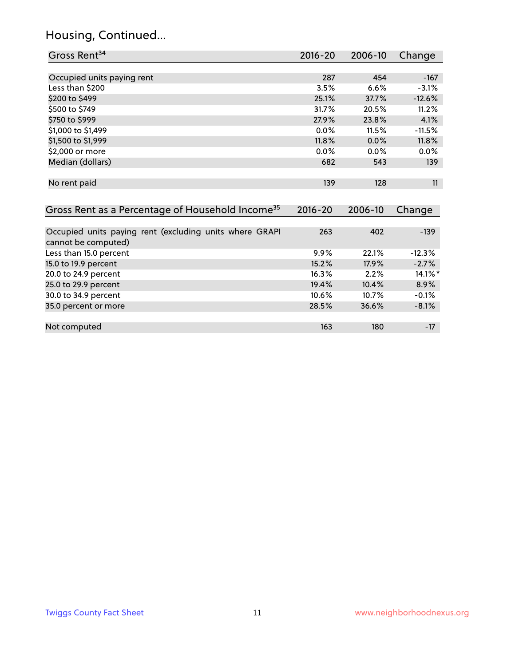### Housing, Continued...

| Gross Rent <sup>34</sup>                                                       | 2016-20     | $2006 - 10$ | Change     |
|--------------------------------------------------------------------------------|-------------|-------------|------------|
|                                                                                |             |             |            |
| Occupied units paying rent                                                     | 287         | 454         | $-167$     |
| Less than \$200                                                                | 3.5%        | 6.6%        | $-3.1%$    |
| \$200 to \$499                                                                 | 25.1%       | 37.7%       | $-12.6%$   |
| \$500 to \$749                                                                 | 31.7%       | 20.5%       | 11.2%      |
| \$750 to \$999                                                                 | 27.9%       | 23.8%       | 4.1%       |
| \$1,000 to \$1,499                                                             | 0.0%        | 11.5%       | $-11.5%$   |
| \$1,500 to \$1,999                                                             | 11.8%       | 0.0%        | 11.8%      |
| \$2,000 or more                                                                | 0.0%        | 0.0%        | 0.0%       |
| Median (dollars)                                                               | 682         | 543         | 139        |
| No rent paid                                                                   | 139         | 128         | 11         |
| Gross Rent as a Percentage of Household Income <sup>35</sup>                   | $2016 - 20$ | 2006-10     | Change     |
|                                                                                |             |             |            |
| Occupied units paying rent (excluding units where GRAPI<br>cannot be computed) | 263         | 402         | $-139$     |
| Less than 15.0 percent                                                         | 9.9%        | 22.1%       | $-12.3%$   |
| 15.0 to 19.9 percent                                                           | 15.2%       | 17.9%       | $-2.7%$    |
| 20.0 to 24.9 percent                                                           | 16.3%       | 2.2%        | $14.1\%$ * |
| 25.0 to 29.9 percent                                                           | 19.4%       | 10.4%       | 8.9%       |
| 30.0 to 34.9 percent                                                           | 10.6%       | 10.7%       | $-0.1%$    |
| 35.0 percent or more                                                           | 28.5%       | 36.6%       | $-8.1%$    |
| Not computed                                                                   | 163         | 180         | $-17$      |
|                                                                                |             |             |            |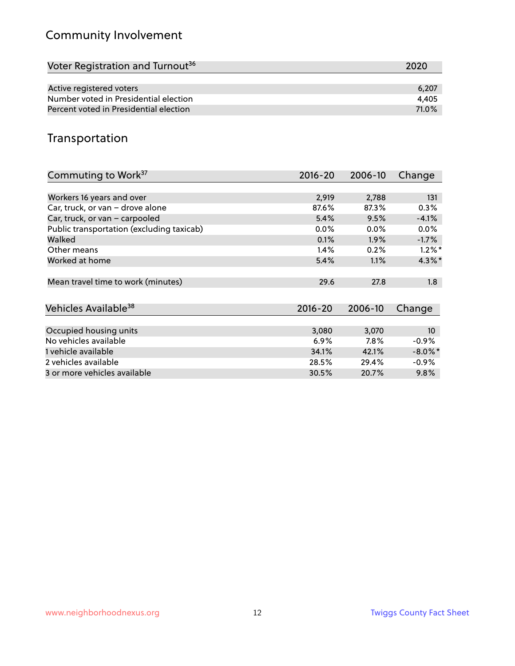### Community Involvement

| Voter Registration and Turnout <sup>36</sup> | 2020  |
|----------------------------------------------|-------|
|                                              |       |
| Active registered voters                     | 6.207 |
| Number voted in Presidential election        | 4.405 |
| Percent voted in Presidential election       | 71.0% |

#### Transportation

| Commuting to Work <sup>37</sup>           | 2016-20     | 2006-10 | Change     |
|-------------------------------------------|-------------|---------|------------|
|                                           |             |         |            |
| Workers 16 years and over                 | 2,919       | 2,788   | 131        |
| Car, truck, or van - drove alone          | 87.6%       | 87.3%   | 0.3%       |
| Car, truck, or van - carpooled            | 5.4%        | 9.5%    | $-4.1%$    |
| Public transportation (excluding taxicab) | $0.0\%$     | $0.0\%$ | $0.0\%$    |
| Walked                                    | 0.1%        | $1.9\%$ | $-1.7%$    |
| Other means                               | 1.4%        | 0.2%    | $1.2\%$ *  |
| Worked at home                            | 5.4%        | 1.1%    | $4.3\%$ *  |
| Mean travel time to work (minutes)        | 29.6        | 27.8    | 1.8        |
|                                           |             |         |            |
| Vehicles Available <sup>38</sup>          | $2016 - 20$ | 2006-10 | Change     |
| Occupied housing units                    | 3,080       | 3,070   | 10         |
| No vehicles available                     | 6.9%        | $7.8\%$ | $-0.9%$    |
| 1 vehicle available                       | 34.1%       | 42.1%   | $-8.0\%$ * |
| 2 vehicles available                      | 28.5%       | 29.4%   | $-0.9%$    |
| 3 or more vehicles available              | 30.5%       | 20.7%   | $9.8\%$    |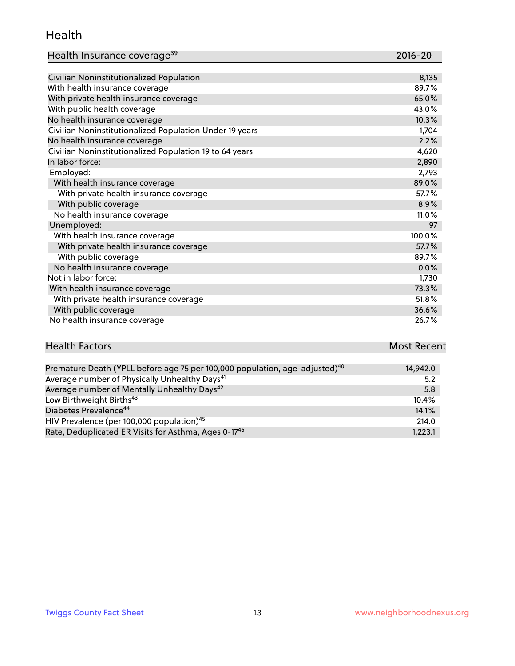#### Health

| Health Insurance coverage <sup>39</sup> | 2016-20 |
|-----------------------------------------|---------|
|-----------------------------------------|---------|

| Civilian Noninstitutionalized Population                | 8,135  |
|---------------------------------------------------------|--------|
| With health insurance coverage                          | 89.7%  |
| With private health insurance coverage                  | 65.0%  |
| With public health coverage                             | 43.0%  |
| No health insurance coverage                            | 10.3%  |
| Civilian Noninstitutionalized Population Under 19 years | 1,704  |
| No health insurance coverage                            | 2.2%   |
| Civilian Noninstitutionalized Population 19 to 64 years | 4,620  |
| In labor force:                                         | 2,890  |
| Employed:                                               | 2,793  |
| With health insurance coverage                          | 89.0%  |
| With private health insurance coverage                  | 57.7%  |
| With public coverage                                    | 8.9%   |
| No health insurance coverage                            | 11.0%  |
| Unemployed:                                             | 97     |
| With health insurance coverage                          | 100.0% |
| With private health insurance coverage                  | 57.7%  |
| With public coverage                                    | 89.7%  |
| No health insurance coverage                            | 0.0%   |
| Not in labor force:                                     | 1,730  |
| With health insurance coverage                          | 73.3%  |
| With private health insurance coverage                  | 51.8%  |
| With public coverage                                    | 36.6%  |
| No health insurance coverage                            | 26.7%  |

# **Health Factors Most Recent** And The Control of the Control of The Control of The Control of The Control of The Control of The Control of The Control of The Control of The Control of The Control of The Control of The Contr

| Premature Death (YPLL before age 75 per 100,000 population, age-adjusted) <sup>40</sup> | 14,942.0 |
|-----------------------------------------------------------------------------------------|----------|
| Average number of Physically Unhealthy Days <sup>41</sup>                               | 5.2      |
| Average number of Mentally Unhealthy Days <sup>42</sup>                                 | 5.8      |
| Low Birthweight Births <sup>43</sup>                                                    | 10.4%    |
| Diabetes Prevalence <sup>44</sup>                                                       | 14.1%    |
| HIV Prevalence (per 100,000 population) <sup>45</sup>                                   | 214.0    |
| Rate, Deduplicated ER Visits for Asthma, Ages 0-17 <sup>46</sup>                        | 1,223.1  |